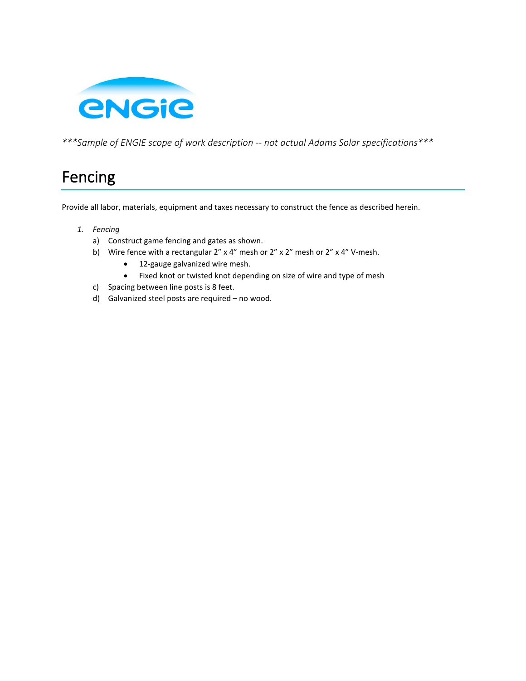

*\*\*\*Sample of ENGIE scope of work description -- not actual Adams Solar specifications\*\*\**

# Fencing

Provide all labor, materials, equipment and taxes necessary to construct the fence as described herein.

- *1. Fencing*
	- a) Construct game fencing and gates as shown.
	- b) Wire fence with a rectangular 2" x 4" mesh or 2" x 2" mesh or 2" x 4" V-mesh.
		- 12-gauge galvanized wire mesh.
		- Fixed knot or twisted knot depending on size of wire and type of mesh
	- c) Spacing between line posts is 8 feet.
	- d) Galvanized steel posts are required no wood.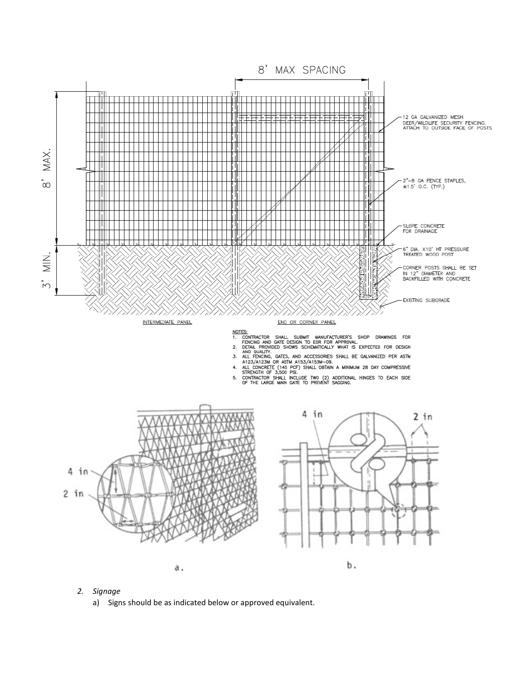

- *2. Signage*
	- a) Signs should be as indicated below or approved equivalent.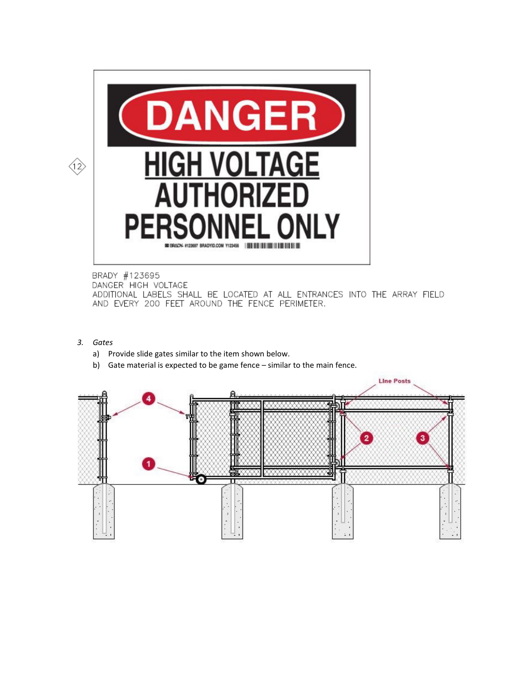

## BRADY #123695

DANGER HIGH VOLTAGE

ADDITIONAL LABELS SHALL BE LOCATED AT ALL ENTRANCES INTO THE ARRAY FIELD AND EVERY 200 FEET AROUND THE FENCE PERIMETER.

- *3. Gates*
	- a) Provide slide gates similar to the item shown below.
	- b) Gate material is expected to be game fence similar to the main fence.